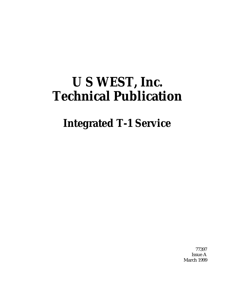# **U S WEST, Inc. Technical Publication**

# **Integrated T-1 Service**

77397 Issue A March 1999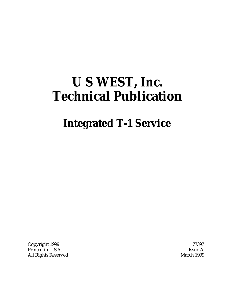# **U S WEST, Inc. Technical Publication**

# **Integrated T-1 Service**

Copyright 1999 77397 Printed in U.S.A. Issue A All Rights Reserved March 1999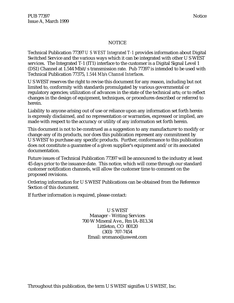### **NOTICE**

Technical Publication 77397 *U S WEST Integrated T-1* provides information about Digital Switched Service and the various ways which it can be integrated with other U S WEST services. The Integrated T-1 (IT1) interface to the customer is a Digital Signal Level 1 (DS1) Channel at 1.544 Mbit/s transmission rate. Pub 77397 is intended to be used with Technical Publication 77375, *1.544 Mb/s Channel Interfaces*.

U S WEST reserves the right to revise this document for any reason, including but not limited to, conformity with standards promulgated by various governmental or regulatory agencies; utilization of advances in the state of the technical arts; or to reflect changes in the design of equipment, techniques, or procedures described or referred to herein.

Liability to anyone arising out of use or reliance upon any information set forth herein is expressly disclaimed, and no representation or warranties, expressed or implied, are made with respect to the accuracy or utility of any information set forth herein.

This document is not to be construed as a suggestion to any manufacturer to modify or change any of its products, nor does this publication represent any commitment by U S WEST to purchase any specific products. Further, conformance to this publication does not constitute a guarantee of a given supplier's equipment and/or its associated documentation.

Future issues of Technical Publication 77397 will be announced to the industry at least 45 days prior to the issuance date. This notice, which will come through our standard customer notification channels, will allow the customer time to comment on the proposed revisions.

Ordering information for U S WEST Publications can be obtained from the Reference Section of this document.

If further information is required, please contact:

U S WEST Manager - Writing Services 700 W Mineral Ave., Rm IA-B13.34 Littleton, CO 80120 (303) 707-7454 Email: sromano@uswest.com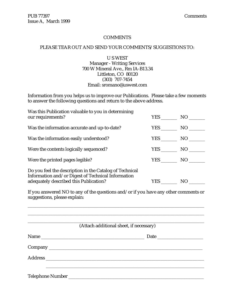#### **COMMENTS**

#### PLEASE TEAR OUT AND SEND YOUR COMMENTS/SUGGESTIONS TO:

#### U S WEST Manager - Writing Services 700 W Mineral Ave., Rm IA-B13.34 Littleton, CO 80120 (303) 707-7454 Email: sromano@uswest.com

Information from you helps us to improve our Publications. Please take a few moments to answer the following questions and return to the above address.

| Was this Publication valuable to you in determining<br>our requirements?                                                                                | <b>YES</b> |                 |
|---------------------------------------------------------------------------------------------------------------------------------------------------------|------------|-----------------|
| Was the information accurate and up-to-date?                                                                                                            | <b>YES</b> | NO              |
| Was the information easily understood?                                                                                                                  | <b>YES</b> | NO <sub>1</sub> |
| Were the contents logically sequenced?                                                                                                                  | <b>YES</b> | NO              |
| Were the printed pages legible?                                                                                                                         | <b>YES</b> | NO              |
| Do you feel the description in the Catalog of Technical<br>Information and/or Digest of Technical Information<br>adequately described this Publication? | <b>YES</b> | NO.             |

If you answered NO to any of the questions and/or if you have any other comments or suggestions, please explain:

| (Attach additional sheet, if necessary) |
|-----------------------------------------|
|                                         |
|                                         |
|                                         |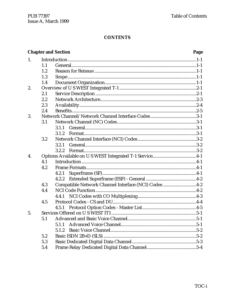|    |     | <b>Chapter and Section</b>                           | Page |
|----|-----|------------------------------------------------------|------|
| 1. |     |                                                      |      |
|    | 1.1 |                                                      |      |
|    | 1.2 |                                                      |      |
|    | 1.3 |                                                      |      |
|    | 1.4 |                                                      |      |
| 2. |     |                                                      |      |
|    | 2.1 |                                                      |      |
|    | 2.2 |                                                      |      |
|    | 2.3 |                                                      |      |
|    | 2.4 |                                                      |      |
| 3. |     |                                                      |      |
|    | 3.1 |                                                      |      |
|    |     | 3.1.1                                                |      |
|    |     | 3.1.2                                                |      |
|    | 3.2 |                                                      |      |
|    |     | 3.2.1                                                |      |
|    |     | 3.2.2                                                |      |
| 4. |     |                                                      |      |
|    | 4.1 |                                                      |      |
|    | 4.2 |                                                      |      |
|    |     | 4.2.1                                                |      |
|    |     | 4.2.2                                                |      |
|    | 4.3 | Compatible Network Channel Interface (NCI) Codes 4-2 |      |
|    | 4.4 |                                                      |      |
|    |     | 4.4.1                                                |      |
|    | 4.5 |                                                      |      |
|    |     |                                                      |      |
| 5. |     |                                                      |      |
|    | 5.1 |                                                      |      |
|    |     | 5.1.1                                                |      |
|    |     | 5.1.2                                                |      |
|    | 5.2 |                                                      |      |
|    | 5.3 |                                                      |      |
|    | 5.4 |                                                      |      |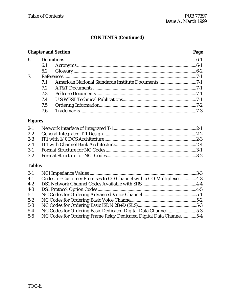# **CONTENTS (Continued)**

# **Chapter and Section Page** 6. Definitions...................................................................................................................6-1 6.1 Acronyms ........................................................................................................6-1 6.2 Glossary...........................................................................................................6-2 7. References....................................................................................................................7-1 7.1 American National Standards Institute Documents.................................7-1 7.2 AT&T Documents ..........................................................................................7-1 7.3 Bellcore Documents .......................................................................................7-1 7.4 U S WEST Technical Publications................................................................7-1 7.5 Ordering Information....................................................................................7-2 7.6 Trademarks .....................................................................................................7-3

#### **Figures**

# **Tables**

| $3-1$ |                                                                     |  |
|-------|---------------------------------------------------------------------|--|
| $4-1$ | Codes for Customer Premises to CO Channel with a CO Multiplexer4-3  |  |
| $4-2$ |                                                                     |  |
| $4-3$ |                                                                     |  |
| $5-1$ |                                                                     |  |
| $5-2$ |                                                                     |  |
| $5-3$ |                                                                     |  |
| $5-4$ | NC Codes for Ordering Basic Dedicated Digital Data Channel 5-3      |  |
| $5-5$ | NC Codes for Ordering Frame Relay Dedicated Digital Data Channel5-4 |  |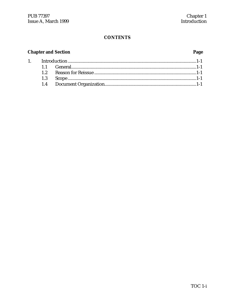# **Chapter and Section**

 $1.$ 

# Page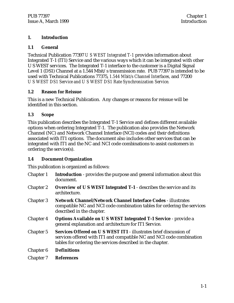#### **1. Introduction**

#### **1.1 General**

Technical Publication 77397 *U S WEST Integrated T-1* provides information about Integrated T-1 (IT1) Service and the various ways which it can be integrated with other U S WEST services. The Integrated T-1 interface to the customer is a Digital Signal Level 1 (DS1) Channel at a 1.544 Mbit/s transmission rate. PUB 77397 is intended to be used with Technical Publications 77375, *1.544 Mbit/s Channel Interfaces,* and 77200 *U S WEST DS1 Service and U S WEST DS1 Rate Synchronization Service.*

#### **1.2 Reason for Reissue**

This is a new Technical Publication. Any changes or reasons for reissue will be identified in this section.

# **1.3 Scope**

This publication describes the Integrated T-1 Service and defines different available options when ordering Integrated T-1. The publication also provides the Network Channel (NC) and Network Channel Interface (NCI) codes and their definitions associated with IT1 options. The document also includes other services that can be integrated with IT1 and the NC and NCI code combinations to assist customers in ordering the service(s).

# **1.4 Document Organization**

This publication is organized as follows:

| Chapter 1        | <b>Introduction</b> - provides the purpose and general information about this<br>document.                                                                                                               |
|------------------|----------------------------------------------------------------------------------------------------------------------------------------------------------------------------------------------------------|
| <b>Chapter 2</b> | Overview of U S WEST Integrated T-1 - describes the service and its<br>architecture.                                                                                                                     |
| <b>Chapter 3</b> | <b>Network Channel/Network Channel Interface Codes - illustrates</b><br>compatible NC and NCI code combination tables for ordering the services<br>described in the chapter.                             |
| <b>Chapter 4</b> | Options Available on U S WEST Integrated T-1 Service - provide a<br>general explanation and architecture for IT1 Service.                                                                                |
| <b>Chapter 5</b> | Services Offered on U S WEST IT1 - illustrates brief discussion of<br>services offered with IT1 and compatible NC and NCI code combination<br>tables for ordering the services described in the chapter. |
| Chapter 6        | <b>Definitions</b>                                                                                                                                                                                       |
| <b>Chapter 7</b> | <b>References</b>                                                                                                                                                                                        |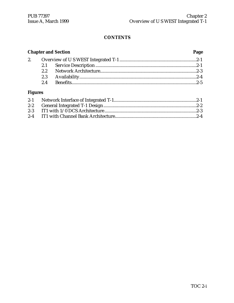|     | <b>Chapter and Section</b> | Page |
|-----|----------------------------|------|
|     |                            |      |
|     |                            |      |
| 2.2 |                            |      |
|     |                            |      |
| 2.4 |                            |      |

# **Figures**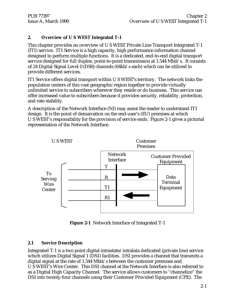### **2. Overview of U S WEST Integrated T-1**

This chapter provides an overview of U S WEST Private Line Transport Integrated T-1 (IT1) service. IT1 Service is a high capacity, high performance information channel designed to perform multiple functions. It is a dedicated, end-to-end digital transport service designed for full duplex, point-to-point transmission at 1.544 Mbit/s. It consists of 24 Digital Signal Level 0 (DS0) channels (64kb/s each) which can be utilized to provide different services.

IT1 Service offers digital transport within U S WEST's territory. The network links the population centers of this vast geographic region together to provide virtually unlimited service to subscribers wherever they reside or do business. This service can offer increased value to subscribers because it provides security, reliability, protection, and rate stability.

A description of the Network Interface (NI) may assist the reader to understand IT1 design. It is the point of demarcation on the end-user's (EU) premises at which U S WEST's responsibility for the provision of service ends. Figure 2-1 gives a pictorial representation of the Network Interface.



**Figure 2-1** Network Interface of Integrated T-1

#### **2.1 Service Description**

Integrated T-1 is a two point digital intrastate/intralata dedicated (private line) service which utilizes Digital Signal 1 (DS1) facilities. DS1 provides a channel that transmits a digital signal at the rate of 1.544 Mbit/s between the customer premises and U S WEST's Wire Center. This DS1 channel at the Network Interface is also referred to as a Digital High Capacity Channel. The service allows customers to "channelize" the DS1 into twenty-four channels using their Customer Provided Equipment (CPE). The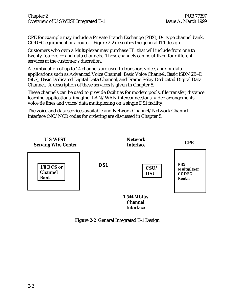Chapter 2 **PUB** 77397 Overview of U S WEST Integrated T-1 Issue A, March 1999

CPE for example may include a Private Branch Exchange (PBX), D4 type channel bank, CODEC equipment or a router. Figure 2-2 describes the general IT1 design.

Customers who own a Multiplexer may purchase IT1 that will include from one to twenty-four voice and data channels. These channels can be utilized for different services at the customer's discretion.

A combination of up to 24 channels are used to transport voice, and/or data applications such as Advanced Voice Channel, Basic Voice Channel, Basic ISDN 2B+D (SLS), Basic Dedicated Digital Data Channel, and Frame Relay Dedicated Digital Data Channel. A description of these services is given in Chapter 5.

These channels can be used to provide facilities for modem pools, file transfer, distance learning applications, imaging, LAN/WAN interconnections, video arrangements, voice tie lines and voice/data multiplexing on a single DS1 facility.

The voice and data services available and Network Channel/Network Channel Interface (NC/NCI) codes for ordering are discussed in Chapter 5.



**Figure 2-2** General Integrated T-1 Design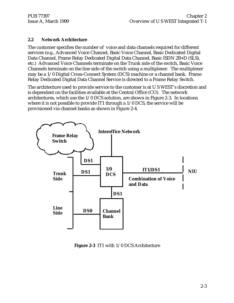#### **2.2 Network Architecture**

The customer specifies the number of voice and data channels required for different services (e.g., Advanced Voice Channel, Basic Voice Channel, Basic Dedicated Digital Data Channel, Frame Relay Dedicated Digital Data Channel, Basic ISDN 2B+D (SLS), etc.) Advanced Voice Channels terminate on the Trunk side of the switch, Basic Voice Channels terminate on the line side of the switch using a multiplexer. The multiplexer may be a 1/0 Digital Cross-Connect System (DCS) machine or a channel bank. Frame Relay Dedicated Digital Data Channel Service is directed to a Frame Relay Switch.

The architecture used to provide service to the customer is at U S WEST's discretion and is dependent on the facilities available at the Central Office (CO). The network architectures, which use the 1/0 DCS solution, are shown in Figure 2-3. In locations where it is not possible to provide IT1 through a 1/0 DCS, the service will be provisioned via channel banks as shown in Figure 2-4.



**Figure 2-3** IT1 with 1/0 DCS Architecture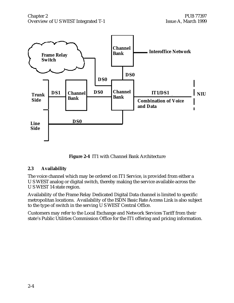

**Figure 2-4** IT1 with Channel Bank Architecture

#### **2.3 Availability**

The voice channel which may be ordered on IT1 Service, is provided from either a U S WEST analog or digital switch, thereby making the service available across the U S WEST 14 state region.

Availability of the Frame Relay Dedicated Digital Data channel is limited to specific metropolitan locations. Availability of the ISDN Basic Rate Access Link is also subject to the type of switch in the serving U S WEST Central Office.

Customers may refer to the Local Exchange and Network Services Tariff from their state's Public Utilities Commission Office for the IT1 offering and pricing information.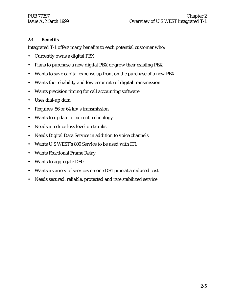#### **2.4 Benefits**

Integrated T-1 offers many benefits to each potential customer who:

- Currently owns a digital PBX
- Plans to purchase a new digital PBX or grow their existing PBX
- Wants to save capital expense up front on the purchase of a new PBX
- Wants the reliability and low error rate of digital transmission
- Wants precision timing for call accounting software
- Uses dial-up data
- Requires 56 or 64 kb/s transmission
- Wants to update to current technology
- Needs a reduce loss level on trunks
- Needs Digital Data Service in addition to voice channels
- Wants U S WEST's 800 Service to be used with IT1
- Wants Fractional Frame Relay
- Wants to aggregate DS0
- Wants a variety of services on one DS1 pipe at a reduced cost
- Needs secured, reliable, protected and rate stabilized service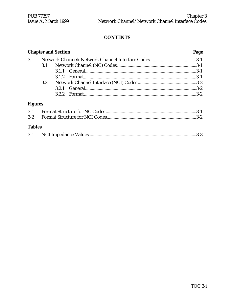|                |         | <b>Chapter and Section</b> | Page |
|----------------|---------|----------------------------|------|
| 3.             |         |                            |      |
|                | 3.1     |                            |      |
|                |         |                            |      |
|                |         |                            |      |
|                | $3.2\,$ |                            |      |
|                |         |                            |      |
|                |         | 3.2.2                      |      |
| <b>Figures</b> |         |                            |      |
| $3-1$          |         |                            |      |
| $3 - 2$        |         |                            |      |
| <b>Tables</b>  |         |                            |      |
| $3-1$          |         |                            | .3-3 |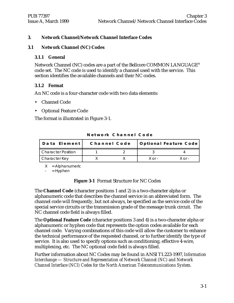#### **3. Network Channel/Network Channel Interface Codes**

#### **3.1 Network Channel (NC) Codes**

#### **3.1.1 General**

Network Channel (NC) codes are a part of the Bellcore COMMON LANGUAGE® code set. The NC code is used to identify a channel used with the service. This section identifies the available channels and their NC codes.

#### **3.1.2 Format**

An NC code is a four-character code with two data elements:

- Channel Code
- Optional Feature Code

The format is illustrated in Figure 3-1.

| Data Element              | Channel Code |            | Optional Feature Code |
|---------------------------|--------------|------------|-----------------------|
| <b>Character Position</b> |              |            |                       |
| Character Key             |              | $X$ or $-$ | $X$ or $-$            |

**N e t w o r k C h a n n e l C o d e**

 $X =$  Alphanumeric

 $=$  Hyphen

**Figure 3-1** Format Structure for NC Codes

The **Channel Code** (character positions 1 and 2) is a two-character alpha or alphanumeric code that describes the channel service in an abbreviated form. The channel code will frequently, but not always, be specified as the service code of the special service circuits or the transmission grade of the message trunk circuit. The NC channel code field is always filled.

The **Optional Feature Code** (character positions 3 and 4) is a two-character alpha or alphanumeric or hyphen code that represents the option codes available for each channel code. Varying combinations of this code will allow the customer to enhance the technical performance of the requested channel, or to further identify the type of service. It is also used to specify options such as conditioning, effective 4-wire, multiplexing, etc. The NC optional code field is always filled.

Further information about NC Codes may be found in ANSI T1.223-1997, *Information Interchange — Structure and Representation of Network Channel (NC) and Network Channel Interface (NCI) Codes for the North American Telecommunications System.*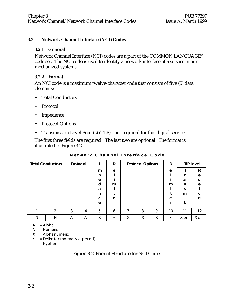#### **3.2 Network Channel Interface (NCI) Codes**

#### **3.2.1 General**

Network Channel Interface (NCI) codes are a part of the COMMON LANGUAGE® code set. The NCI code is used to identify a network interface of a service in our mechanized systems.

#### **3.2.2 Format**

An NCI code is a maximum twelve-character code that consists of five (5) data elements:

- Total Conductors
- Protocol
- Impedance
- Protocol Options
- Transmission Level Point(s) (TLP) not required for this digital service.

The first three fields are required. The last two are optional. The format is illustrated in Figure 3-2.

| <b>Total Conductors</b> |                |   | Protocol |   | D |   | <b>Protocol Options</b> |   | D         |            | <b>TLP Level</b> |
|-------------------------|----------------|---|----------|---|---|---|-------------------------|---|-----------|------------|------------------|
|                         |                |   |          | m | e |   |                         |   | e         |            | R                |
|                         |                |   |          | p |   |   |                         |   |           |            | e                |
|                         |                |   |          | e |   |   |                         |   |           | a          | C                |
|                         |                |   |          | d | m |   |                         |   | m         | n          | e                |
|                         |                |   |          | a |   |   |                         |   |           | S          |                  |
|                         |                |   |          | n |   |   |                         |   |           | m          | v                |
|                         |                |   |          | C | e |   |                         |   | e         |            | e                |
|                         |                |   |          | e |   |   |                         |   |           |            |                  |
|                         | $\mathfrak{p}$ | 3 | 4        | 5 | 6 | 7 | 8                       | 9 | 10        | 11         | 12               |
| N                       | N              | Α | A        | X |   | X | Χ                       | X | $\bullet$ | $X$ or $-$ | X or -           |

**N e t w o r k C h a n n e l I n t e r f a c e C o d e**

 $A = Alpha$ 

 $N =$  Numeric

- $X =$  Alphanumeric
- = Delimiter (normally a period)
- $-$  = Hyphen

**Figure 3-2** Format Structure for NCI Codes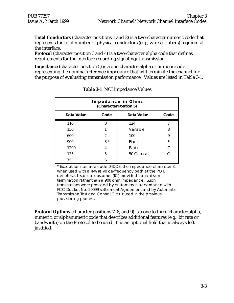**Total Conductors** (character positions 1 and 2) is a two-character numeric code that represents the total number of physical conductors (e.g., wires or fibers) required at the interface.

**Protocol** (character position 3 and 4) is a two-character alpha code that defines requirements for the interface regarding signaling/transmission.

**Impedance** (character position 5) is a one-character alpha or numeric code representing the nominal reference impedance that will terminate the channel for the purpose of evaluating transmission performance. Values are listed in Table 3-1.

| Impedance in Ohms<br>(Character Position 5) |                |            |           |
|---------------------------------------------|----------------|------------|-----------|
| Data Value                                  | Code           | Data Value | Code      |
| 110                                         | U              | 124        |           |
| 150                                         |                | Variable   | 8         |
| 600                                         | $\mathfrak{p}$ | 100        | 9         |
| 900                                         | $3^*$          | Fiber      | F         |
| 1200                                        | 4              | Radio      | Z         |
| 135                                         | 5              | 50 Coaxial | $\subset$ |
| 75                                          | 6              |            |           |

**Table 3-1** NCI Impedance Values

\* Except for interface code 04DD3, the impedance character 3, when used with a 4-wire voice-frequency path at the POT, denotes a historical customer (IC) provided transmission termination rather than a 900 ohm impedance. Such terminations were provided by customers in accordance with FCC Docket No. 20099 settlement Agreement and by Automatic Transmission Test and Control Circuit used in the previous provisioning process.

**Protocol Options** (character positions 7, 8, and 9) is a one to three-character alpha, numeric, or alphanumeric code that describes additional features (e.g., bit rate or bandwidth) on the Protocol to be used. It is an optional field that is always left justified.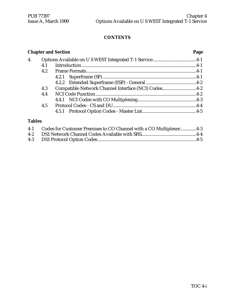|                    |     | <b>Chapter and Section</b>                          | Page |
|--------------------|-----|-----------------------------------------------------|------|
| $\boldsymbol{4}$ . |     |                                                     |      |
|                    | 4.1 |                                                     |      |
|                    | 4.2 |                                                     |      |
|                    |     |                                                     |      |
|                    |     |                                                     |      |
|                    | 4.3 | Compatible Network Channel Interface (NCI) Codes4-2 |      |
|                    | 4.4 |                                                     |      |
|                    |     |                                                     |      |
|                    | 4.5 |                                                     |      |
|                    |     |                                                     |      |
| $T = 1.1$          |     |                                                     |      |

#### **Tables**

| 4-1 Codes for Customer Premises to CO Channel with a CO Multiplexer4-3 |  |
|------------------------------------------------------------------------|--|
|                                                                        |  |
|                                                                        |  |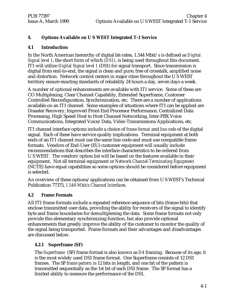# **4. Options Available on U S WEST Integrated T-1 Service**

#### **4.1 Introduction**

In the North American hierarchy of digital bit-rates, 1.544 Mbit/s is defined as *Digital Signal level 1*, the short form of which *(DS1)*, is being used throughout this document. IT1 will utilize *Digital Signal level 1* (DS1) for signal transport. Since transmission is digital from end-to-end, the signal is clean and pure; free of crosstalk, amplified noise and distortion. Network control centers in major cities throughout the U S WEST territory ensure exacting standards of reliability 24 hours a day, seven days a week.

A number of optional enhancements are available with IT1 service. Some of these are CO Multiplexing, Clear Channel Capability, Extended Superframe, Customer Controlled Reconfiguration, Synchronization, etc. There are a number of applications available on an IT1 channel. Some examples of situations where IT1 can be applied are Disaster Recovery, Improved Front-End Processor Performance, Centralized Data Processing, High Speed Host to Host Channel Networking, Inter-PBX Voice Communications, Integrated Voice/Data, Video Transmissions Applications, etc.

IT1 channel interface options include a choice of *frame format* and *line code* of the digital signal. Each of these have service quality implications. Terminal equipment at both ends of an IT1 channel must use the same line code and must use compatible frame formats. Vendors of End-User (EU) customer equipment will usually include recommendations that describes the interface characteristics to be ordered from U S WEST. The vendors' option list will be based on the features available in their equipment. Not all terminal equipment or *Network Channel Terminating Equipment* (NCTE) have equal capabilities so some options should be considered before equipment is selected.

An overview of these options/applications can be obtained from U S WEST's Technical Publication 77375, *1.544 Mbit/s Channel Interfaces*.

#### **4.2 Frame Formats**

All IT1 frame formats include a repeated reference-sequence of bits (frame-bits) that enclose transmitted user data, providing the ability for receivers of the signal to identify byte and frame boundaries for demultiplexing the data. Some frame formats not only provide this elementary synchronizing function, but also provide optional enhancements that greatly improve the ability of the customer to monitor the quality of the signal being transported. Frame formats and their advantages and disadvantages are discussed below.

#### **4.2.1 Superframe (SF)**

The *Superframe* (SF) frame format is also known as *D4* framing. Because of its age, it is the most widely used DS1 frame format. One Superframe consists of 12 DS1 frames. The SF *frame pattern* is 12 bits in length, and one bit of the pattern is transmitted sequentially as the 1st bit of each DS1 frame. The SF format has a limited ability to measure the performance of the DS1.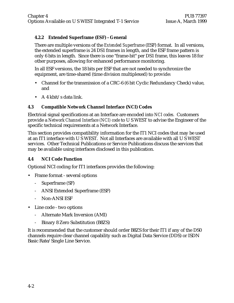#### **4.2.2 Extended Superframe (ESF) - General**

There are multiple versions of the *Extended Superfram*e (ESF) format. In all versions, the extended superframe is 24 DS1 frames in length, and the ESF frame pattern is only 6 bits in length. Since there is one "frame-bit" per DS1 frame, this leaves 18 for other purposes, allowing for enhanced performance monitoring.

In all ESF versions, the 18 bits per ESF that are not needed to synchronize the equipment, are time-shared (time division multiplexed) to provide:

- Channel for the transmission of a CRC-6 (6 bit Cyclic Redundancy Check) value, and
- $\cdot$  A 4 kbit/s data link.

#### **4.3 Compatible Network Channel Interface (NCI) Codes**

Electrical signal specifications at an Interface are encoded into *NCI codes.* Customers provide a *Network Channel Interface (NCI) code* to U S WEST to advise the Engineer of the specific technical requirements at a Network Interface.

This section provides compatibility information for the IT1 NCI codes that may be used at an IT1 interface with U S WEST. Not all Interfaces are available with all U S WEST services. Other Technical Publications or Service Publications discuss the services that may be available using interfaces disclosed in this publication.

#### **4.4 NCI Code Function**

Optional NCI coding for IT1 interfaces provides the following:

- Frame format several options
	- Superframe (SF)
	- ANSI Extended Superframe (ESF)
	- Non-ANSI ESF
- Line code two options
	- Alternate Mark Inversion (AMI)
	- Binary 8 Zero Substitution (B8ZS)

It is recommended that the customer should order B8ZS for their IT1 if any of the DS0 channels require clear channel capability such as Digital Data Service (DDS) or ISDN Basic Rate/Single Line Service.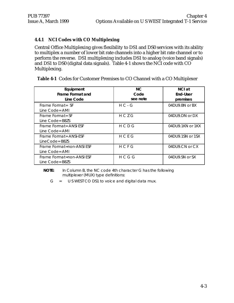### **4.4.1 NCI Codes with CO Multiplexing**

Central Office Multiplexing gives flexibility to DS1 and DS0 services with its ability to multiplex a number of lower bit rate channels into a higher bit rate channel or to perform the reverse. DS1 multiplexing includes DS1 to analog (voice band signals) and DS1 to DS0 (digital data signals). Table 4-1 shows the NCI code with CO Multiplexing.

| Table 4-1 Codes for Customer Premises to CO Channel with a CO Multiplexer |
|---------------------------------------------------------------------------|
|---------------------------------------------------------------------------|

| Equipment<br>Frame Format and<br>Line Code      | NC.<br>Code<br>see note | NCI at<br>End-User<br>premises |
|-------------------------------------------------|-------------------------|--------------------------------|
| Frame Format= SF<br>Line Code= AMI              | $H C - G$               | 04DU9.BN or BX                 |
| Frame Format= SF<br>Line Code= B8ZS             | HCZG                    | 04DU9.DN or DX                 |
| Frame Format = ANSI ESF<br>Line Code= AMI       | H C D G                 | $04$ DU9.1KN or 1KX            |
| Frame Format = ANSI-ESF<br>LineCode= B8ZS       | HCEG                    | 04DU9.1SN or 1SX               |
| Frame Format=non-ANSI ESF<br>Line Code= AMI     | H C F G                 | 04DU9.CN or CX                 |
| Frame Format=non-ANSI ESF<br>Line $Code = B82S$ | HCGG                    | 04DU9.SN or SX                 |

#### **NOTE:** In Column B, the NC code 4th character G has the following multiplexer (MUX) type definitions:

 $G = U S WEST CO DS1 to voice and digital data mux.$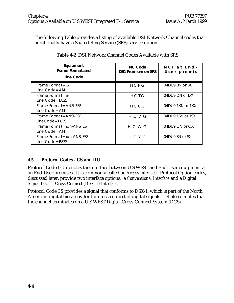The following Table provides a listing of available DS1 Network Channel codes that additionally have a Shared Ring Service (SRS) service option.

| Equipment<br>Frame Format and<br>Line Code   | NC Code<br><b>DS1 Premium on SRS</b> | NCI at End-<br>User premis |
|----------------------------------------------|--------------------------------------|----------------------------|
| Frame Format= SF<br>Line Code= AMI           | HCPG                                 | 04DU9.BN or BX             |
| Frame Format= SF<br>Line Code= B8ZS          | HCTG                                 | 04DU9.DN or DX             |
| Frame Format = ANSI-ESF<br>Line Code= AMI    | HCUG                                 | 04DU9.1KN or 1KX           |
| Frame Format = ANSI-ESF<br>LineCode= B8ZS    | H C V G                              | 04DU9.1SN or 1SX           |
| Frame Format=non-ANSI ESF<br>Line Code= AML  | H C W G                              | 04DU9.CN or CX             |
| Frame Format=non-ANSI ESF<br>Line Code= B8ZS | H C Y G                              | 04DU9.SN or SX             |

**Table 4-2** DS1 Network Channel Codes Available with SRS

# **4.5 Protocol Codes - CS and DU**

Protocol Code *DU* denotes the interface between U S WEST and End-User equipment at an End-User premises. It is commonly called an *Access Interface*. Protocol Option codes, discussed later, provide two interface options: a *Conventional Interface* and a *Digital Signal Level 1 Cross-Connect (DSX-1) Interface.*

Protocol Code *CS* provides a signal that conforms to DSX-1, which is part of the North American digital hierarchy for the cross-connect of digital signals. *CS* also denotes that the channel terminates on a U S WEST Digital Cross-Connect System (DCS).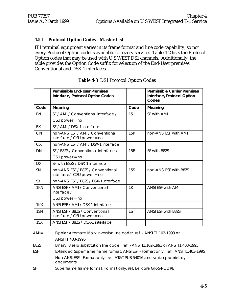#### **4.5.1 Protocol Option Codes - Master List**

IT1 terminal equipment varies in its frame format and line code capability, so not every Protocol Option code is available for every service. Table 4-2 lists the Protocol Option codes that may be used with U S WEST DS1 channels. Additionally, the table provides the Option Code suffix for selection of the End-User premises Conventional and DSX-1 interfaces.

|           | Permissible End-User Premises<br>Interface, Protocol Option Codes  |            | <b>Permissible Carrier Premises</b><br>Interface, Protocol Option<br>Codes |
|-----------|--------------------------------------------------------------------|------------|----------------------------------------------------------------------------|
| Code      | Meaning                                                            | Code       | Meaning                                                                    |
| <b>BN</b> | SF / AMI / Conventional interface /                                | 15         | SF with AMI                                                                |
|           | $CSU$ power = no                                                   |            |                                                                            |
| BX        | SF / AMI / DSX-1 interface                                         |            |                                                                            |
| CN        | non-ANSI ESF / AMI / Conventional<br>interface / CSU power = no    | 15K        | non-ANSI ESF with AMI                                                      |
| <b>CX</b> | non-ANSI ESF / AMI / DSX-1 interface                               |            |                                                                            |
| <b>DN</b> | SE / B87S / Conventional interface /                               | 15B        | SF with B87S                                                               |
|           | $CSU$ power = no                                                   |            |                                                                            |
| <b>DX</b> | SF with B8ZS / DSX-1 interface                                     |            |                                                                            |
| <b>SN</b> | non-ANSI ESF / B8ZS / Conventional<br>$interface /$ CSU power = no | <b>15S</b> | non-ANSI FSF with B87S                                                     |
| <b>SX</b> | non-ANSI ESF / B8ZS / DSX-1 interface                              |            |                                                                            |
| 1KN       | ANSI ESF / AMI / Conventional<br>interface /                       | 1K         | <b>ANSI ESF with AMI</b>                                                   |
|           | $CSU$ power = no                                                   |            |                                                                            |
| 1KX       | ANSI ESF / AMI / DSX-1 interface                                   |            |                                                                            |
| 1SN       | ANSI ESF / B8ZS / Conventional<br>interface / CSU power = no       | 1S         | <b>ANSLESE with B87S</b>                                                   |
| 1SX       | ANSI ESF / B8ZS / DSX-1 interface                                  |            |                                                                            |

#### **Table 4-3** DS1 Protocol Option Codes

 AMI= Bipolar Alternate Mark Inversion line code: ref. - ANSI T1.102-1993 or ANSI T1.403-1995

B8ZS= Binary, 8 zero substitution line code: ref. - ANSI T1.102-1993 or ANSI T1.403-1995

 ESF= Extended Superframe frame format: ANSI ESF - Format only: ref. ANSI T1.403-1995 Non-ANSI ESF - Format only: ref. AT&T PUB 54016 and similar proprietary documents

SF= Superframe frame format: Format only: ref. Bellcore GR-54-CORE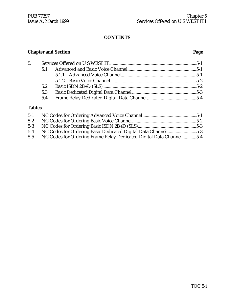# **Chapter and Section Page**

| 5. |     |  |
|----|-----|--|
|    |     |  |
|    |     |  |
|    |     |  |
|    | 5.2 |  |
|    | 5.3 |  |
|    | 5.4 |  |
|    |     |  |

# **Tables**

| $5-1$   |                                                                     |  |
|---------|---------------------------------------------------------------------|--|
| $5-2$   |                                                                     |  |
| $5-3$   |                                                                     |  |
| $5 - 4$ | NC Codes for Ordering Basic Dedicated Digital Data Channel5-3       |  |
| $5 - 5$ | NC Codes for Ordering Frame Relay Dedicated Digital Data Channel5-4 |  |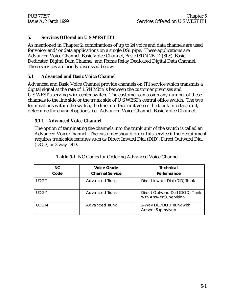#### **5. Services Offered on U S WEST IT1**

As mentioned in Chapter 2, combinations of up to 24 voice and data channels are used for voice, and/or data applications on a single DS1 pipe. These applications are Advanced Voice Channel, Basic Voice Channel, Basic ISDN 2B+D (SLS), Basic Dedicated Digital Data Channel, and Frame Relay Dedicated Digital Data Channel. These services are briefly discussed below.

#### **5.1 Advanced and Basic Voice Channel**

Advanced and Basic Voice Channel provide channels on IT1 service which transmits a digital signal at the rate of 1.544 Mbit/s between the customer premises and U S WEST's serving wire center switch. The customer can assign any number of these channels to the line side or the trunk side of U S WEST's central office switch. The two terminations within the switch, the line interface unit verses the trunk interface unit, determine the channel options, i.e., Advanced Voice Channel, Basic Voice Channel.

#### **5.1.1 Advanced Voice Channel**

The option of terminating the channels into the trunk unit of the switch is called an Advanced Voice Channel. The customer should order this service if their equipment requires trunk side features such as Direct Inward Dial (DID), Direct Outward Dial (DOD) or 2 way DID.

| NC.<br>Code | Voice Grade<br><b>Channel Service</b> | Technical<br>Performance                                   |
|-------------|---------------------------------------|------------------------------------------------------------|
| <b>UDGT</b> | <b>Advanced Trunk</b>                 | Direct Inward Dial (DID) Trunk                             |
| <b>UDGY</b> | Advanced Trunk                        | Direct Outward Dial (DOD) Trunk<br>with Answer Supervision |
| <b>UDGM</b> | Advanced Trunk                        | 2-Way DID/DOD Trunk with<br><b>Answer Supervision</b>      |

| Table 5-1 NC Codes for Ordering Advanced Voice Channel |
|--------------------------------------------------------|
|--------------------------------------------------------|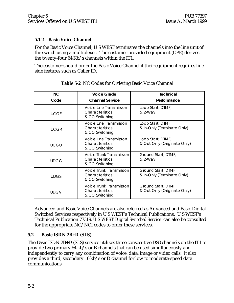#### **5.1.2 Basic Voice Channel**

For the Basic Voice Channel, U S WEST terminates the channels into the line unit of the switch using a multiplexer. The customer provided equipment (CPE) derives the twenty-four 64 Kb/s channels within the IT1.

The customer should order the Basic Voice Channel if their equipment requires line side features such as Caller ID.

| NC.<br>Code | <b>Voice Grade</b><br><b>Channel Service</b>                         | Technical<br>Performance                          |
|-------------|----------------------------------------------------------------------|---------------------------------------------------|
|             |                                                                      |                                                   |
| <b>UCGF</b> | Voice Line Transmission<br>Characteristics<br>& CO Switching         | Loop Start, DTMF,<br>& 2-Way                      |
| <b>UCGR</b> | Voice Line Transmission<br><b>Characteristics</b><br>& CO Switching  | Loop Start, DTMF,<br>& In-Only (Terminate Only)   |
| <b>UCGU</b> | Voice Line Transmission<br><b>Characteristics</b><br>& CO Switching  | Loop Start, DTMF,<br>& Out-Only (Originate Only)  |
| <b>UDGG</b> | Voice Trunk Transmission<br><b>Characteristics</b><br>& CO Switching | Ground Start, DTMF,<br>& 2-Way                    |
| <b>UDGS</b> | Voice Trunk Transmission<br><b>Characteristics</b><br>& CO Switching | Ground Start, DTMF<br>& In-Only (Terminate Only)  |
| <b>UDGV</b> | Voice Trunk Transmission<br>Characteristics<br>& CO Switching        | Ground Start, DTMF<br>& Out-Only (Originate Only) |

**Table 5-2** NC Codes for Ordering Basic Voice Channel

Advanced and Basic Voice Channels are also referred as Advanced and Basic Digital Switched Services respectively in U S WEST's Technical Publications. U S WEST's Technical Publication 77319, *U S WEST Digital Switched Service* can also be consulted for the appropriate NC/NCI codes to order these services.

#### **5.2 Basic ISDN 2B+D (SLS)**

The Basic ISDN 2B+D (SLS) service utilizes three consecutive DS0 channels on the IT1 to provide two primary 64 kb/s or B channels that can be used simultaneously and independently to carry any combination of voice, data, image or video calls. It also provides a third, secondary 16 kb/s or D channel for low to moderate-speed data communications.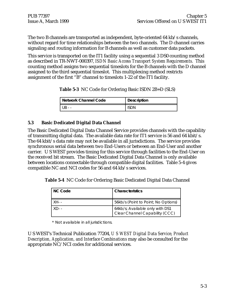The two B channels are transported as independent, byte-oriented 64 kb/s channels, without regard for time relationships between the two channels. The D channel carries signaling and routing information for B channels as well as customer data packets.

This service is transported on the IT1 facility using a sequential 3 DS0 counting method as described in TR-NWT-000397, *ISDN Basic Access Transport System Requirements.* This counting method assigns two sequential timeslots for the B channels with the D channel assigned to the third sequential timeslot. This multiplexing method restricts assignment of the first "B" channel to timeslots 1-22 of the IT1 facility.

**Table 5-3** NC Code for Ordering Basic ISDN 2B+D (SLS)

| Network Channel Code                     | <b>Description</b> |
|------------------------------------------|--------------------|
| $\mathsf{H}$ $\mathsf{R}$ = $\mathsf{L}$ | isdn               |

#### **5.3 Basic Dedicated Digital Data Channel**

The Basic Dedicated Digital Data Channel Service provides channels with the capability of transmitting digital data. The available data rate for IT1 service is 56 and 64 kbit/s. The 64 kbit/s data rate may not be available in all jurisdictions. The service provides synchronous serial data between two End-Users or between an End-User and another carrier. U S WEST provides timing for this service through facilities to the End-User on the received bit stream. The Basic Dedicated Digital Data Channel is only available between locations connectable through compatible digital facilities. Table 5-4 gives compatible NC and NCI codes for 56 and 64 kb/s services.

**Table 5-4** NC Code for Ordering Basic Dedicated Digital Data Channel

| NC Code | <b>Characteristics</b>                                            |
|---------|-------------------------------------------------------------------|
| XH- -   | 56kb/s (Point to Point; No Options)                               |
| XD- -   | 64kb/s; Available only with DS1<br>Clear Channel Capability (CCC) |

\* Not available in all jurisdictions.

U S WEST's Technical Publication 77204, *U S WEST Digital Data Service, Product Description, Application, and Interface Combinations* may also be consulted for the appropriate NC/NCI codes for additional services.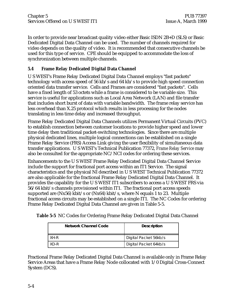In order to provide near broadcast quality video either Basic ISDN 2B+D (SLS) or Basic Dedicated Digital Data Channel can be used. The number of channels required for video depends on the quality of video. It is recommended that consecutive channels be used for this type of service. CPE should be equipped to accommodate the loss of synchronization between multiple channels.

### **5.4 Frame Relay Dedicated Digital Data Channel**

U S WEST's Frame Relay Dedicated Digital Data Channel employs "fast packets" technology with access speed of 56 kb/s and 64 kb/s to provide high speed connection oriented data transfer service. Cells and Frames are considered "fast packets". Cells have a fixed length of 53 octets while a frame is considered to be variable size. This service is useful for applications such as Local Area Network (LAN) and file transfer that includes short burst of data with variable bandwidth. The frame relay service has less overhead than X.25 protocol which results in less processing for the nodes translating in less time delay and increased throughput.

Frame Relay Dedicated Digital Data Channels utilizes Permanent Virtual Circuits (PVC) to establish connection between customer locations to provide higher speed and lower time delay then traditional packet-switching technologies. Since there are multiple physical dedicated lines, multiple logical connections can be established on a single Frame Relay Service (FRS) Access Link giving the user flexibility of simultaneous data transfer applications. U S WEST's Technical Publication 77372, *Frame Relay Service* may also be consulted for the appropriate NC/NCI codes for ordering these services.

Enhancements to the U S WEST Frame Relay Dedicated Digital Data Channel Service include the support for fractional port access within an IT1 Service. The signal characteristics and the physical NI described in U S WEST Technical Publication 77372 are also applicable for the fractional Frame Relay Dedicated Digital Data Channel. It provides the capability for the U S WEST IT1 subscribers to access a U S WEST FRS via 56/64 kbit/s channels provisioned within IT1. The fractional port access speeds supported are (Nx56) kbit/s or (Nx64) kbit/s, where N equals 1 to 23. Multiple fractional access circuits may be established on a single IT1. The NC Codes for ordering Frame Relay Dedicated Digital Data Channel are given in Table 5-5.

|  |  |  |  | Table 5-5 NC Codes for Ordering Frame Relay Dedicated Digital Data Channel |  |  |
|--|--|--|--|----------------------------------------------------------------------------|--|--|

|      | Network Channel Code | <b>Description</b>    |
|------|----------------------|-----------------------|
| XH-R |                      | Digital Packet 56kb/s |
| XD-R |                      | Digital Packet 64kb/s |

Fractional Frame Relay Dedicated Digital Data Channel is available only in Frame Relay Service Areas that have a Frame Relay Node collocated with 1/0 Digital Cross-Connect System (DCS).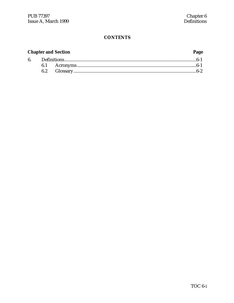#### **Chapter and Section** Page  $6.$  $6.1$  $6.2$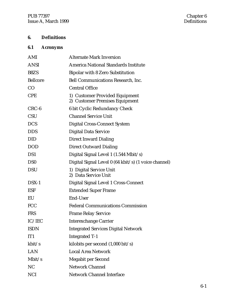# **6. Definitions**

# **6.1 Acronyms**

| AMI             | <b>Alternate Mark Inversion</b>                                  |
|-----------------|------------------------------------------------------------------|
| <b>ANSI</b>     | <b>America National Standards Institute</b>                      |
| B8ZS            | <b>Bipolar with 8 Zero Substitution</b>                          |
| <b>Bellcore</b> | <b>Bell Communications Research, Inc.</b>                        |
| CO              | <b>Central Office</b>                                            |
| <b>CPE</b>      | 1) Customer Provided Equipment<br>2) Customer Premises Equipment |
| $CRC-6$         | 6 bit Cyclic Redundancy Check                                    |
| <b>CSU</b>      | <b>Channel Service Unit</b>                                      |
| <b>DCS</b>      | <b>Digital Cross-Connect System</b>                              |
| <b>DDS</b>      | <b>Digital Data Service</b>                                      |
| <b>DID</b>      | <b>Direct Inward Dialing</b>                                     |
| <b>DOD</b>      | <b>Direct Outward Dialing</b>                                    |
| DS1             | Digital Signal Level 1 (1.544 Mbit/s)                            |
| D <sub>S0</sub> | Digital Signal Level 0 (64 kbit/s) (1 voice channel)             |
| <b>DSU</b>      | 1) Digital Service Unit<br>2) Data Service Unit                  |
| $DSX-1$         | Digital Signal Level 1 Cross-Connect                             |
| <b>ESF</b>      | <b>Extended Super Frame</b>                                      |
| EU              | <b>End-User</b>                                                  |
| <b>FCC</b>      | <b>Federal Communications Commission</b>                         |
| <b>FRS</b>      | <b>Frame Relay Service</b>                                       |
| IC/IEC          | <b>Interexchange Carrier</b>                                     |
| <b>ISDN</b>     | <b>Integrated Services Digital Network</b>                       |
| IT <sub>1</sub> | <b>Integrated T-1</b>                                            |
| kbit/s          | kilobits per second $(1,000 \text{ bit/s})$                      |
| <b>LAN</b>      | <b>Local Area Network</b>                                        |
| Mbit/s          | <b>Megabit per Second</b>                                        |
| NC              | <b>Network Channel</b>                                           |
| <b>NCI</b>      | <b>Network Channel Interface</b>                                 |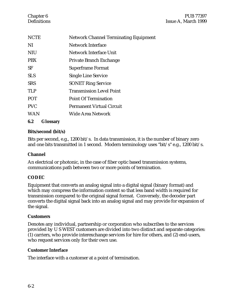| <b>NCTE</b> | <b>Network Channel Terminating Equipment</b> |
|-------------|----------------------------------------------|
| NI          | <b>Network Interface</b>                     |
| <b>NIU</b>  | Network Interface Unit                       |
| <b>PBX</b>  | <b>Private Branch Exchange</b>               |
| SF          | <b>Superframe Format</b>                     |
| <b>SLS</b>  | <b>Single Line Service</b>                   |
| <b>SRS</b>  | <b>SONET Ring Service</b>                    |
| <b>TLP</b>  | <b>Transmission Level Point</b>              |
| <b>POT</b>  | <b>Point Of Termination</b>                  |
| <b>PVC</b>  | <b>Permanent Virtual Circuit</b>             |
| <b>WAN</b>  | Wide Area Network                            |
|             |                                              |

#### **6.2 Glossary**

#### **Bits/second (bit/s)**

Bits per second, e.g., 1200 bit/s. In data transmission, it is the number of binary zero and one bits transmitted in 1 second. Modern terminology uses "bit/s" e.g., 1200 bit/s.

#### **Channel**

An electrical or photonic, in the case of fiber optic based transmission systems, communications path between two or more points of termination.

#### **CODEC**

Equipment that converts an analog signal into a digital signal (binary format) and which may compress the information content so that less band width is required for transmission compared to the original signal format. Conversely, the decoder part converts the digital signal back into an analog signal and may provide for expansion of the signal.

#### **Customers**

Denotes any individual, partnership or corporation who subscribes to the services provided by U S WEST customers are divided into two distinct and separate categories: (1) carriers, who provide interexchange services for hire for others, and (2) end-users, who request services only for their own use.

#### **Customer Interface**

The interface with a customer at a point of termination.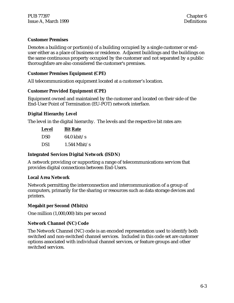#### **Customer Premises**

Denotes a building or portion(s) of a building occupied by a single customer or enduser either as a place of business or residence. Adjacent buildings and the buildings on the same continuous property occupied by the customer and not separated by a public thoroughfare are also considered the customer's premises.

#### **Customer Premises Equipment (CPE)**

All telecommunication equipment located at a customer's location.

#### **Customer Provided Equipment (CPE)**

Equipment owned and maintained by the customer and located on their side of the End-User Point of Termination (EU-POT) network interface.

#### **Digital Hierarchy Level**

The level in the digital hierarchy. The levels and the respective bit rates are:

| <b>Level</b>    | <b>Bit Rate</b>       |  |  |
|-----------------|-----------------------|--|--|
| DS <sub>0</sub> | $64.0 \text{ kbit/s}$ |  |  |
| DS1             | $1.544$ Mbit/s        |  |  |

#### **Integrated Services Digital Network (ISDN)**

A network providing or supporting a range of telecommunications services that provides digital connections between End-Users.

#### **Local Area Network**

Network permitting the interconnection and intercommunication of a group of computers, primarily for the sharing or resources such as data storage devices and printers.

#### **Megabit per Second (Mbit/s)**

One million (1,000,000) bits per second

#### **Network Channel (NC) Code**

The Network Channel (NC) code is an encoded representation used to identify both switched and non-switched channel services. Included in this code set are customer options associated with individual channel services, or feature groups and other switched services.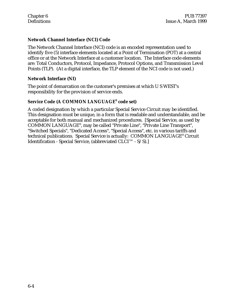#### **Network Channel Interface (NCI) Code**

The Network Channel Interface (NCI) code is an encoded representation used to identify five (5) interface elements located at a Point of Termination (POT) at a central office or at the Network Interface at a customer location. The Interface code elements are: Total Conductors, Protocol, Impedance, Protocol Options, and Transmission Level Points (TLP). (At a digital interface, the TLP element of the NCI code is not used.)

#### **Network Interface (NI)**

The point of demarcation on the customer's premises at which U S WEST's responsibility for the provision of service ends.

#### **Service Code (A COMMON LANGUAGE® code set)**

A coded designation by which a particular Special Service Circuit may be identified. This designation must be unique, in a form that is readable and understandable, and be acceptable for both manual and mechanized procedures. [Special Service, as used by COMMON LANGUAGE® , may be called "Private Line", "Private Line Transport", "Switched Specials", "Dedicated Access", "Special Access", etc. in various tariffs and technical publications. Special Service is actually: COMMON LANGUAGE® Circuit Identification - Special Service, (abbreviated CLCI™ - S/S).]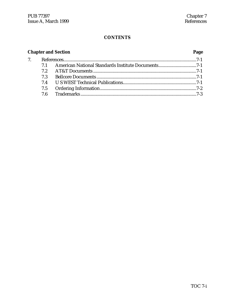| <b>Chapter and Section</b> |     |  |  |  |  |
|----------------------------|-----|--|--|--|--|
|                            |     |  |  |  |  |
|                            |     |  |  |  |  |
|                            |     |  |  |  |  |
|                            | 7.3 |  |  |  |  |
|                            |     |  |  |  |  |
|                            |     |  |  |  |  |
|                            |     |  |  |  |  |
|                            |     |  |  |  |  |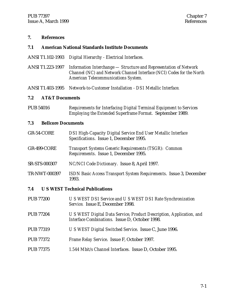#### **7. References**

#### **7.1 American National Standards Institute Documents**

- ANSI T1.102-1993 *Digital Hierarchy Electrical Interfaces.*
- ANSI T1.223-1997 *Information Interchange Structure and Representation of Network Channel (NC) and Network Channel Interface (NCI) Codes for the North American Telecommunications System.*

ANSI T1.403-1995 *Network-to-Customer Installation - DS1 Metallic Interface.*

#### **7.2 AT&T Documents**

PUB 54016 *Requirements for Interfacing Digital Terminal Equipment to Services Employing the Extended Superframe Format.* September 1989.

#### **7.3 Bellcore Documents**

- GR-54-CORE *DS1 High-Capacity Digital Service End User Metallic Interface Specifications*. Issue 1, December 1995.
- GR-499-CORE *Transport Systems Generic Requirements (TSGR): Common Requirements*. Issue 1, December 1995.
- SR-STS-000307 *NC/NCI Code Dictionary.* Issue 8, April 1997.
- TR-NWT-000397 *ISDN Basic Access Transport System Requirements*. Issue 3, December 1993.

#### **7.4 U S WEST Technical Publications**

PUB 77200 *U S WEST DS1 Service and U S WEST DS1 Rate Synchronization Service.* Issue E, December 1998. PUB 77204 *U S WEST Digital Data Service, Product Description, Application, and Interface Combinations.* Issue D, October 1998. PUB 77319 *U S WEST Digital Switched Service*. Issue C, June 1996. PUB 77372 *Frame Relay Service*. Issue F, October 1997. PUB 77375 *1.544 Mbit/s Channel Interfaces.* Issue D, October 1995.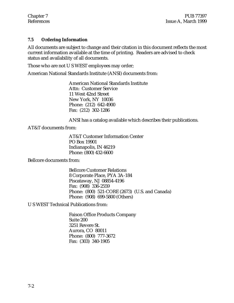#### **7.5 Ordering Information**

All documents are subject to change and their citation in this document reflects the most current information available at the time of printing. Readers are advised to check status and availability of all documents.

Those who are not U S WEST employees may order;

American National Standards Institute (ANSI) documents from:

American National Standards Institute Attn: Customer Service 11 West 42nd Street New York, NY 10036 Phone: (212) 642-4900 Fax: (212) 302-1286

ANSI has a catalog available which describes their publications.

AT&T documents from:

AT&T Customer Information Center PO Box 19901 Indianapolis, IN 46219 Phone: (800) 432-6600

Bellcore documents from:

Bellcore Customer Relations 8 Corporate Place, PYA 3A-184 Piscataway, NJ 08854-4196 Fax: (908) 336-2559 Phone: (800) 521-CORE (2673) (U.S. and Canada) Phone: (908) 699-5800 (Others)

U S WEST Technical Publications from:

Faison Office Products Company Suite 200 3251 Revere St. Aurora, CO 80011 Phone: (800) 777-3672 Fax: (303) 340-1905